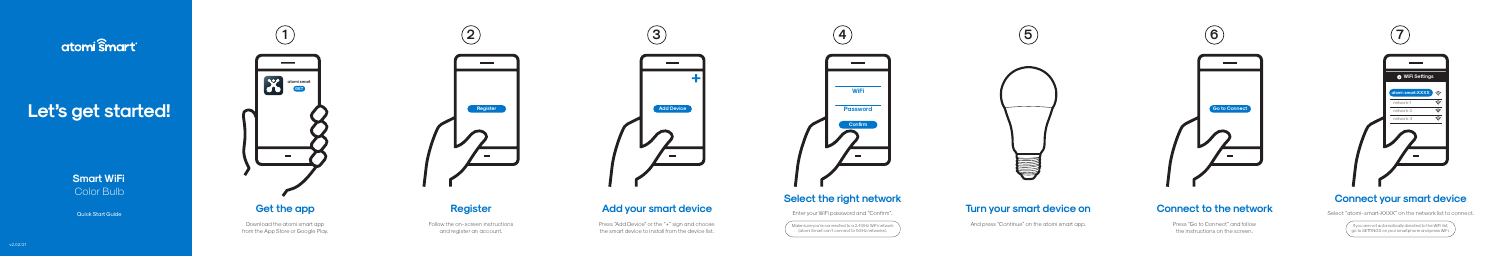# atomi smart

# Let's get started!



Download the atomi smart app from the App Store or Google Play. Press "Add Device" or the "+" sign and choose the smart device to install from the device list.



# **Add your smart device**

# **Register**

Follow the on-screen instructions and register an account.

# **Connect to the network**

Press "Go to Connect" and follow the instructions on the screen.

Make sure you're connected to a 2.4GHz WiFi network (atomi Smart can't connect to 5GHz networks).

# anick Start Guide **Cet the app and Sect on Add your smart device Add your smart device** enver the state on the state on the state of the state on the state of the state of the state of the state of the state of the state o

And press "Continue" on the atomi smart app.

**Smart WiFi** Color Bulb

If you are not automatically directed to the WiFi list, go to SETTINGS on your smaphone and press WiFi.



# **Connect your smart device**

Select "atomi-smart-XXXX" on the network list to connect.





# $\overline{\phantom{a}}$

# **Select the right network**

Enter your WiFi password and "Confirm".